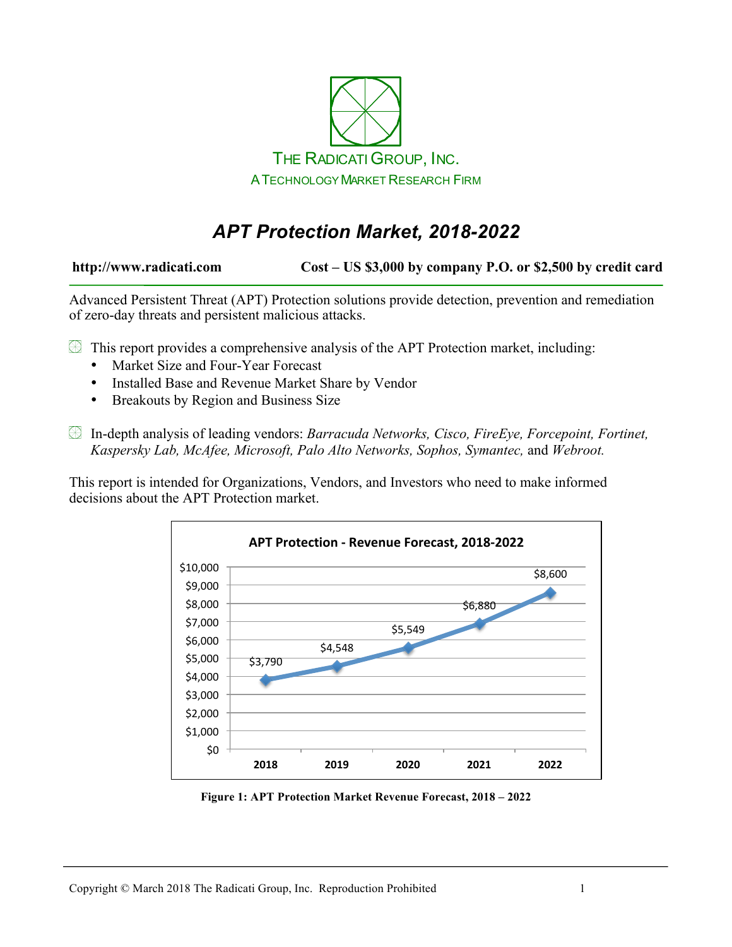

# *APT Protection Market, 2018-2022*

**http://www.radicati.com Cost – US \$3,000 by company P.O. or \$2,500 by credit card**

Advanced Persistent Threat (APT) Protection solutions provide detection, prevention and remediation of zero-day threats and persistent malicious attacks.

 $\mathbb{\mathbb{R}}$  This report provides a comprehensive analysis of the APT Protection market, including:

- Market Size and Four-Year Forecast
- Installed Base and Revenue Market Share by Vendor
- Breakouts by Region and Business Size

In-depth analysis of leading vendors: *Barracuda Networks, Cisco, FireEye, Forcepoint, Fortinet, Kaspersky Lab, McAfee, Microsoft, Palo Alto Networks, Sophos, Symantec,* and *Webroot.*

This report is intended for Organizations, Vendors, and Investors who need to make informed decisions about the APT Protection market.



**Figure 1: APT Protection Market Revenue Forecast, 2018 – 2022**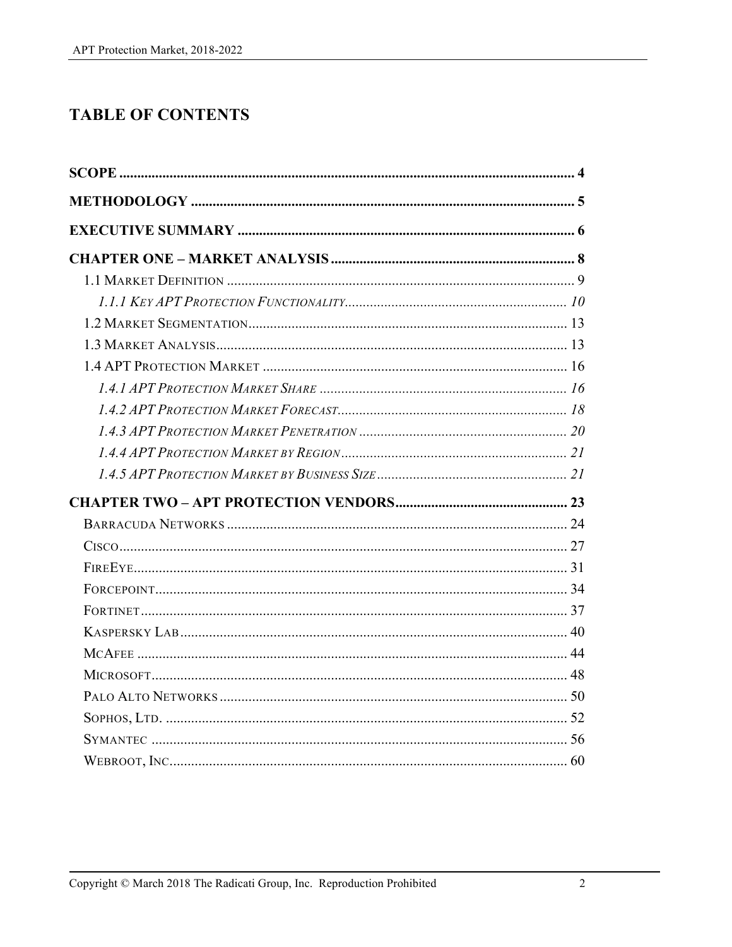## **TABLE OF CONTENTS**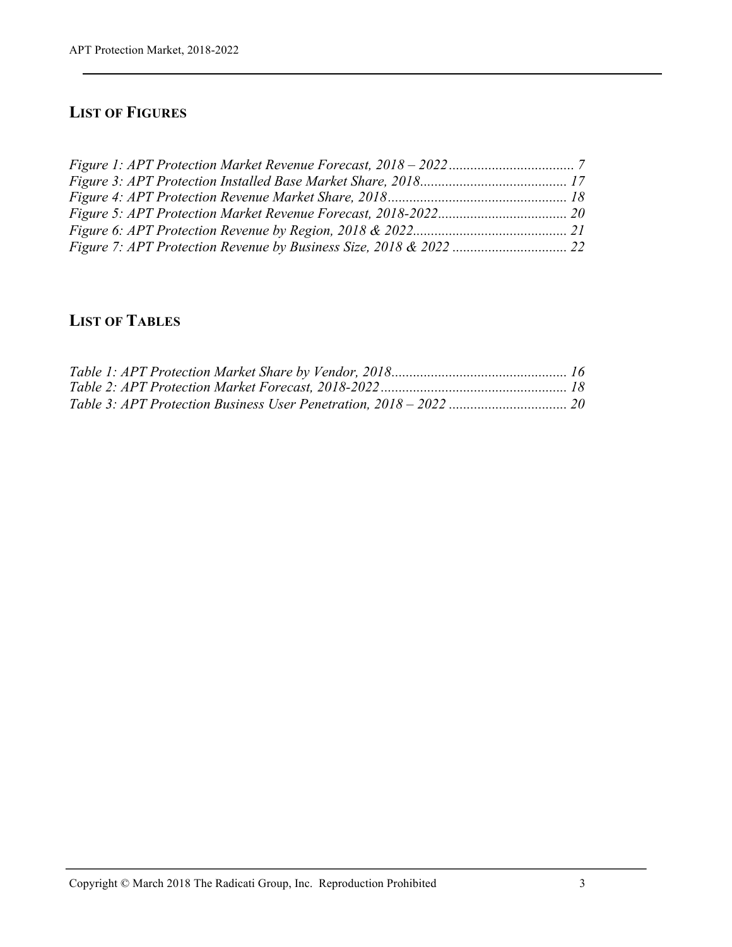### **LIST OF FIGURES**

## **LIST OF TABLES**